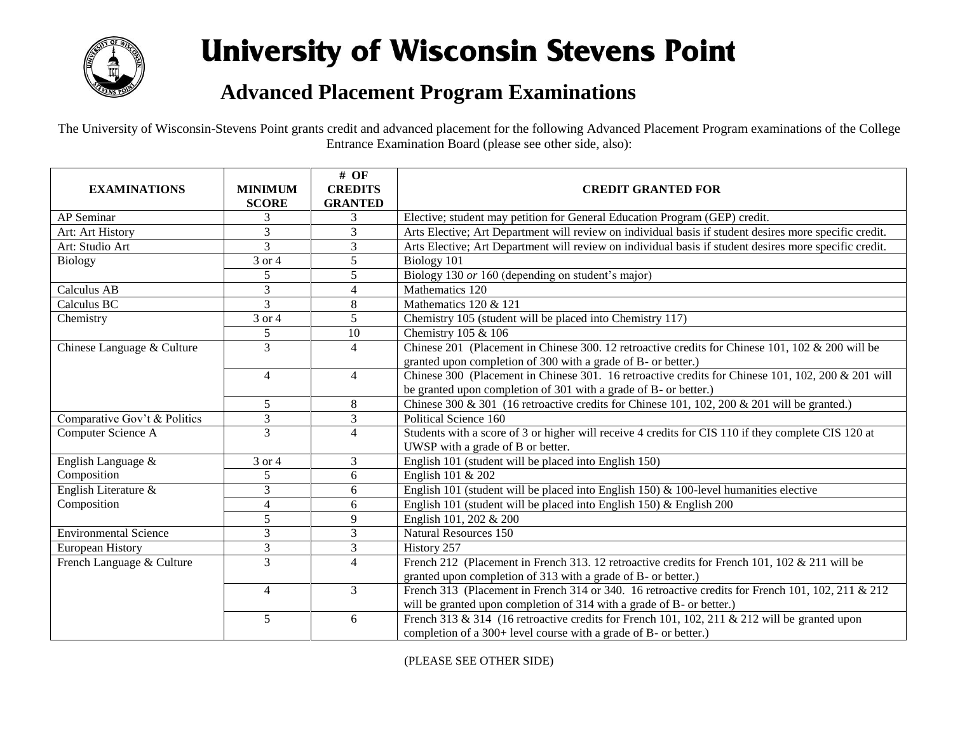

## **University of Wisconsin Stevens Point**

## **Advanced Placement Program Examinations**

The University of Wisconsin-Stevens Point grants credit and advanced placement for the following Advanced Placement Program examinations of the College Entrance Examination Board (please see other side, also):

|                              |                     | $#$ OF         |                                                                                                        |
|------------------------------|---------------------|----------------|--------------------------------------------------------------------------------------------------------|
| <b>EXAMINATIONS</b>          | <b>MINIMUM</b>      | <b>CREDITS</b> | <b>CREDIT GRANTED FOR</b>                                                                              |
|                              | <b>SCORE</b>        | <b>GRANTED</b> |                                                                                                        |
| AP Seminar                   |                     | 3              | Elective; student may petition for General Education Program (GEP) credit.                             |
| Art: Art History             | 3                   | 3              | Arts Elective; Art Department will review on individual basis if student desires more specific credit. |
| Art: Studio Art              | 3                   | 3              | Arts Elective; Art Department will review on individual basis if student desires more specific credit. |
| <b>Biology</b>               | $\overline{3}$ or 4 | 5              | Biology 101                                                                                            |
|                              | 5                   | 5              | Biology 130 or 160 (depending on student's major)                                                      |
| Calculus AB                  | 3                   | $\overline{4}$ | Mathematics 120                                                                                        |
| Calculus BC                  | $\overline{3}$      | 8              | Mathematics 120 & 121                                                                                  |
| Chemistry                    | 3 or 4              | 5              | Chemistry 105 (student will be placed into Chemistry 117)                                              |
|                              | 5                   | 10             | Chemistry 105 & 106                                                                                    |
| Chinese Language & Culture   | 3                   | $\overline{4}$ | Chinese 201 (Placement in Chinese 300. 12 retroactive credits for Chinese 101, 102 & 200 will be       |
|                              |                     |                | granted upon completion of 300 with a grade of B- or better.)                                          |
|                              | $\overline{4}$      | $\overline{4}$ | Chinese 300 (Placement in Chinese 301. 16 retroactive credits for Chinese 101, 102, 200 & 201 will     |
|                              |                     |                | be granted upon completion of 301 with a grade of B- or better.)                                       |
|                              | 5                   | 8              | Chinese 300 & 301 (16 retroactive credits for Chinese 101, 102, 200 & 201 will be granted.)            |
| Comparative Gov't & Politics | 3                   | 3              | Political Science 160                                                                                  |
| Computer Science A           | 3                   | $\overline{4}$ | Students with a score of 3 or higher will receive 4 credits for CIS 110 if they complete CIS 120 at    |
|                              |                     |                | UWSP with a grade of B or better.                                                                      |
| English Language &           | 3 or 4              | 3              | English 101 (student will be placed into English 150)                                                  |
| Composition                  | 5                   | 6              | English 101 & 202                                                                                      |
| English Literature &         | 3                   | 6              | English 101 (student will be placed into English 150) $&$ 100-level humanities elective                |
| Composition                  | 4                   | 6              | English 101 (student will be placed into English 150) $&$ English 200                                  |
|                              | 5                   | 9              | English 101, 202 & 200                                                                                 |
| <b>Environmental Science</b> | 3                   | 3              | <b>Natural Resources 150</b>                                                                           |
| <b>European History</b>      | 3                   | $\mathfrak{Z}$ | History 257                                                                                            |
| French Language & Culture    | 3                   | $\overline{4}$ | French 212 (Placement in French 313. 12 retroactive credits for French 101, 102 & 211 will be          |
|                              |                     |                | granted upon completion of 313 with a grade of B- or better.)                                          |
|                              | $\overline{4}$      | 3              | French 313 (Placement in French 314 or 340. 16 retroactive credits for French 101, 102, 211 & 212      |
|                              |                     |                | will be granted upon completion of 314 with a grade of B- or better.)                                  |
|                              | $\mathfrak{H}$      | 6              | French 313 & 314 (16 retroactive credits for French 101, 102, 211 & 212 will be granted upon           |
|                              |                     |                | completion of a 300+ level course with a grade of B- or better.)                                       |

(PLEASE SEE OTHER SIDE)